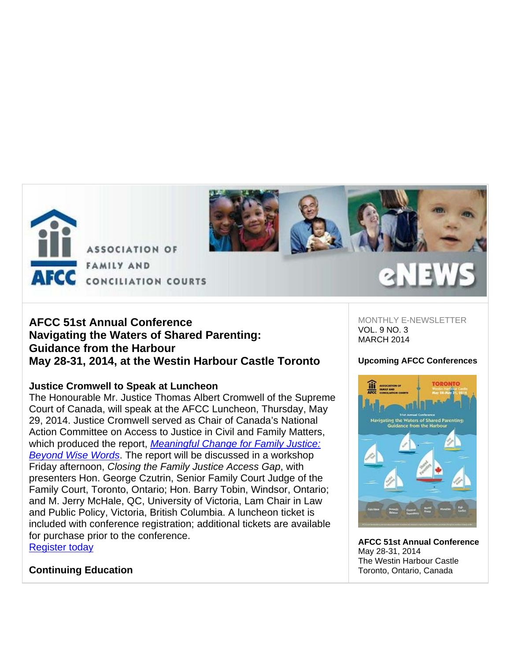



# **AFCC 51st Annual Conference Navigating the Waters of Shared Parenting: Guidance from the Harbour May 28-31, 2014, at the Westin Harbour Castle Toronto**

# **Justice Cromwell to Speak at Luncheon**

The Honourable Mr. Justice Thomas Albert Cromwell of the Supreme Court of Canada, will speak at the AFCC Luncheon, Thursday, May 29, 2014. Justice Cromwell served as Chair of Canada's National Action Committee on Access to Justice in Civil and Family Matters, which produced the report, *Meaningful Change for Family Justice: Beyond Wise Words*. The report will be discussed in a workshop Friday afternoon, *Closing the Family Justice Access Gap*, with presenters Hon. George Czutrin, Senior Family Court Judge of the Family Court, Toronto, Ontario; Hon. Barry Tobin, Windsor, Ontario; and M. Jerry McHale, QC, University of Victoria, Lam Chair in Law and Public Policy, Victoria, British Columbia. A luncheon ticket is included with conference registration; additional tickets are available for purchase prior to the conference. Register today

MONTHLY E-NEWSLETTER VOL. 9 NO. 3 MARCH 2014

## **Upcoming AFCC Conferences**



**AFCC 51st Annual Conference** May 28-31, 2014 The Westin Harbour Castle Toronto, Ontario, Canada

**Continuing Education**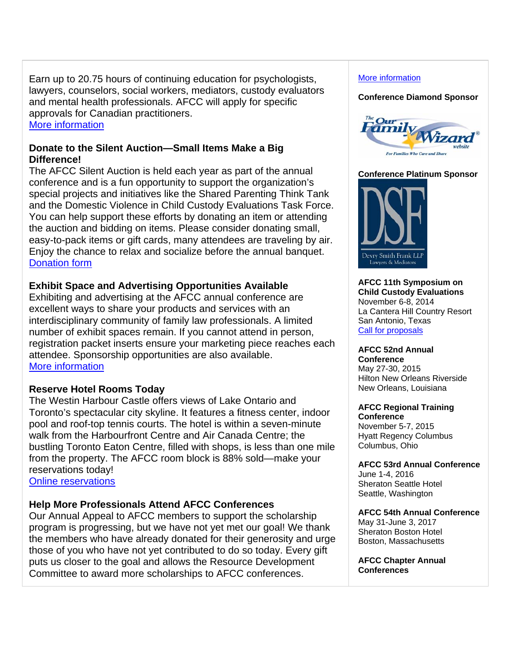Earn up to 20.75 hours of continuing education for psychologists, lawyers, counselors, social workers, mediators, custody evaluators and mental health professionals. AFCC will apply for specific approvals for Canadian practitioners. More information

## **Donate to the Silent Auction—Small Items Make a Big Difference!**

The AFCC Silent Auction is held each year as part of the annual conference and is a fun opportunity to support the organization's special projects and initiatives like the Shared Parenting Think Tank and the Domestic Violence in Child Custody Evaluations Task Force. You can help support these efforts by donating an item or attending the auction and bidding on items. Please consider donating small, easy-to-pack items or gift cards, many attendees are traveling by air. Enjoy the chance to relax and socialize before the annual banquet. Donation form

## **Exhibit Space and Advertising Opportunities Available**

Exhibiting and advertising at the AFCC annual conference are excellent ways to share your products and services with an interdisciplinary community of family law professionals. A limited number of exhibit spaces remain. If you cannot attend in person, registration packet inserts ensure your marketing piece reaches each attendee. Sponsorship opportunities are also available. More information

# **Reserve Hotel Rooms Today**

The Westin Harbour Castle offers views of Lake Ontario and Toronto's spectacular city skyline. It features a fitness center, indoor pool and roof-top tennis courts. The hotel is within a seven-minute walk from the Harbourfront Centre and Air Canada Centre; the bustling Toronto Eaton Centre, filled with shops, is less than one mile from the property. The AFCC room block is 88% sold—make your reservations today!

Online reservations

## **Help More Professionals Attend AFCC Conferences**

Our Annual Appeal to AFCC members to support the scholarship program is progressing, but we have not yet met our goal! We thank the members who have already donated for their generosity and urge those of you who have not yet contributed to do so today. Every gift puts us closer to the goal and allows the Resource Development Committee to award more scholarships to AFCC conferences.

## More information

### **Conference Diamond Sponsor**



## **Conference Platinum Sponsor**



#### **AFCC 11th Symposium on Child Custody Evaluations** November 6-8, 2014 La Cantera Hill Country Resort San Antonio, Texas Call for proposals

#### **AFCC 52nd Annual Conference**

May 27-30, 2015 Hilton New Orleans Riverside New Orleans, Louisiana

#### **AFCC Regional Training Conference**

November 5-7, 2015 Hyatt Regency Columbus Columbus, Ohio

### **AFCC 53rd Annual Conference**

June 1-4, 2016 Sheraton Seattle Hotel Seattle, Washington

## **AFCC 54th Annual Conference**

May 31-June 3, 2017 Sheraton Boston Hotel Boston, Massachusetts

**AFCC Chapter Annual Conferences**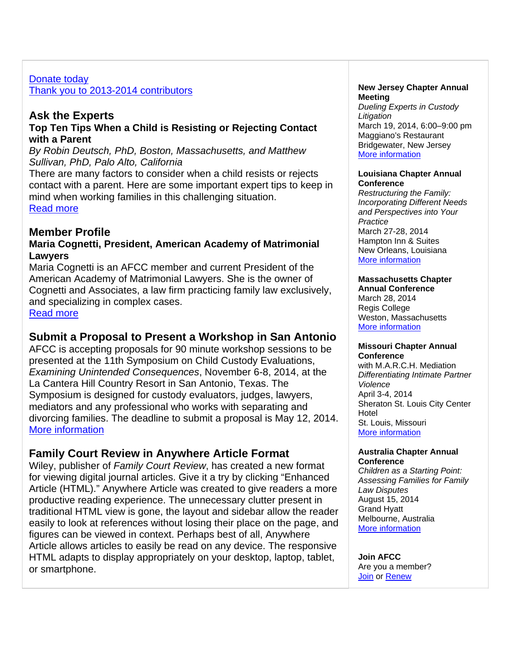## Donate today Thank you to 2013-2014 contributors

# **Ask the Experts**

## **Top Ten Tips When a Child is Resisting or Rejecting Contact with a Parent**

*By Robin Deutsch, PhD, Boston, Massachusetts, and Matthew Sullivan, PhD, Palo Alto, California* 

There are many factors to consider when a child resists or rejects contact with a parent. Here are some important expert tips to keep in mind when working families in this challenging situation. Read more

# **Member Profile**

## **Maria Cognetti, President, American Academy of Matrimonial Lawyers**

Maria Cognetti is an AFCC member and current President of the American Academy of Matrimonial Lawyers. She is the owner of Cognetti and Associates, a law firm practicing family law exclusively, and specializing in complex cases.

Read more

# **Submit a Proposal to Present a Workshop in San Antonio**

AFCC is accepting proposals for 90 minute workshop sessions to be presented at the 11th Symposium on Child Custody Evaluations, *Examining Unintended Consequences*, November 6-8, 2014, at the La Cantera Hill Country Resort in San Antonio, Texas. The Symposium is designed for custody evaluators, judges, lawyers, mediators and any professional who works with separating and divorcing families. The deadline to submit a proposal is May 12, 2014. More information

# **Family Court Review in Anywhere Article Format**

Wiley, publisher of *Family Court Review*, has created a new format for viewing digital journal articles. Give it a try by clicking "Enhanced Article (HTML)." Anywhere Article was created to give readers a more productive reading experience. The unnecessary clutter present in traditional HTML view is gone, the layout and sidebar allow the reader easily to look at references without losing their place on the page, and figures can be viewed in context. Perhaps best of all, Anywhere Article allows articles to easily be read on any device. The responsive HTML adapts to display appropriately on your desktop, laptop, tablet, or smartphone.

#### **New Jersey Chapter Annual Meeting**

*Dueling Experts in Custody Litigation* March 19, 2014, 6:00–9:00 pm Maggiano's Restaurant Bridgewater, New Jersey More information

### **Louisiana Chapter Annual Conference**

*Restructuring the Family: Incorporating Different Needs and Perspectives into Your Practice* March 27-28, 2014 Hampton Inn & Suites New Orleans, Louisiana More information

## **Massachusetts Chapter**

**Annual Conference** March 28, 2014 Regis College Weston, Massachusetts More information

#### **Missouri Chapter Annual Conference**

with M.A.R.C.H. Mediation *Differentiating Intimate Partner Violence* April 3-4, 2014 Sheraton St. Louis City Center Hotel St. Louis, Missouri More information

### **Australia Chapter Annual Conference**

*Children as a Starting Point: Assessing Families for Family Law Disputes* August 15, 2014 Grand Hyatt Melbourne, Australia More information

**Join AFCC**  Are you a member? Join or Renew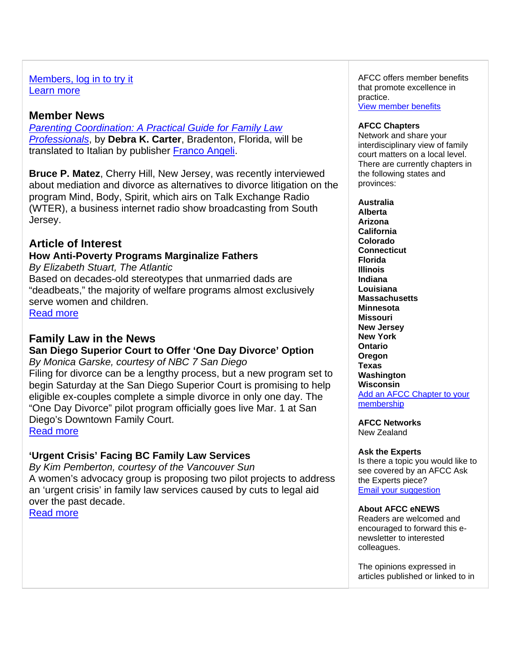## Members, log in to try it Learn more

# **Member News**

*Parenting Coordination: A Practical Guide for Family Law Professionals*, by **Debra K. Carter**, Bradenton, Florida, will be translated to Italian by publisher Franco Angeli.

**Bruce P. Matez**, Cherry Hill, New Jersey, was recently interviewed about mediation and divorce as alternatives to divorce litigation on the program Mind, Body, Spirit, which airs on Talk Exchange Radio (WTER), a business internet radio show broadcasting from South Jersey.

# **Article of Interest**

# **How Anti-Poverty Programs Marginalize Fathers**

*By Elizabeth Stuart, The Atlantic* Based on decades-old stereotypes that unmarried dads are "deadbeats," the majority of welfare programs almost exclusively serve women and children.

Read more

# **Family Law in the News**

**San Diego Superior Court to Offer 'One Day Divorce' Option** *By Monica Garske, courtesy of NBC 7 San Diego*

Filing for divorce can be a lengthy process, but a new program set to begin Saturday at the San Diego Superior Court is promising to help eligible ex-couples complete a simple divorce in only one day. The "One Day Divorce" pilot program officially goes live Mar. 1 at San Diego's Downtown Family Court. Read more

**'Urgent Crisis' Facing BC Family Law Services**

*By Kim Pemberton, courtesy of the Vancouver Sun* A women's advocacy group is proposing two pilot projects to address an 'urgent crisis' in family law services caused by cuts to legal aid over the past decade. Read more

AFCC offers member benefits that promote excellence in practice.

View member benefits

### **AFCC Chapters**

Network and share your interdisciplinary view of family court matters on a local level. There are currently chapters in the following states and provinces:

**Australia Alberta Arizona California Colorado Connecticut Florida Illinois Indiana Louisiana Massachusetts Minnesota Missouri New Jersey New York Ontario Oregon Texas Washington Wisconsin**  Add an AFCC Chapter to your membership

**AFCC Networks** 

New Zealand

### **Ask the Experts**

Is there a topic you would like to see covered by an AFCC Ask the Experts piece? Email your suggestion

### **About AFCC eNEWS**

Readers are welcomed and encouraged to forward this enewsletter to interested colleagues.

The opinions expressed in articles published or linked to in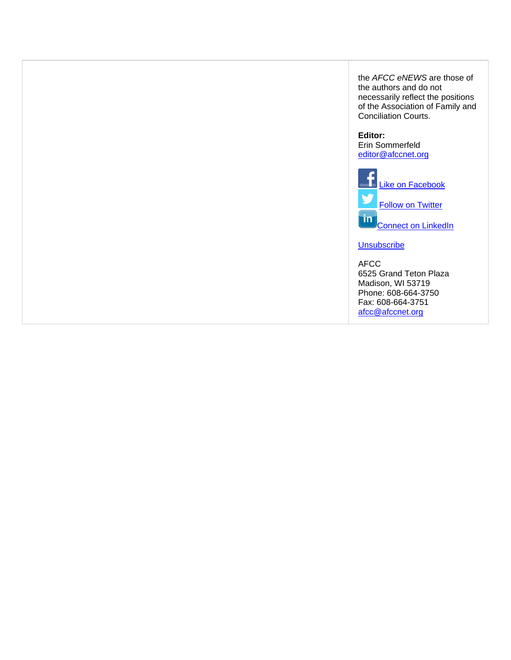the *AFCC eNEWS* are those of the authors and do not necessarily reflect the positions of the Association of Family and Conciliation Courts.

#### **Editor:**

Erin Sommerfeld editor@afccnet.org



#### **Unsubscribe**

AFCC 6525 Grand Teton Plaza Madison, WI 53719 Phone: 608-664-3750 Fax: 608-664-3751 afcc@afccnet.org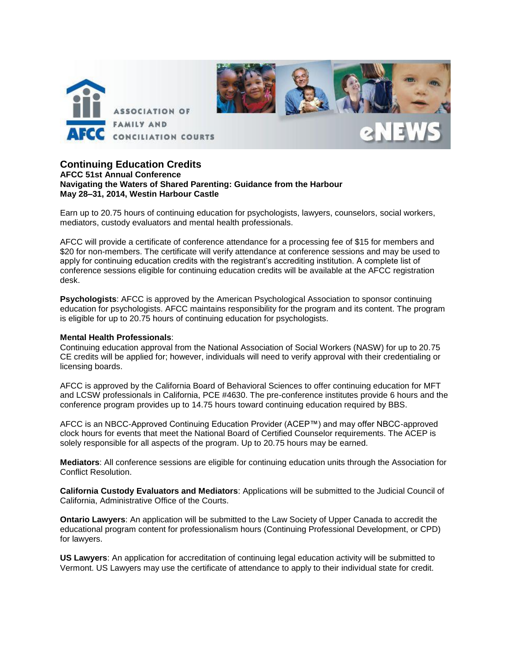

#### **Continuing Education Credits AFCC 51st Annual Conference Navigating the Waters of Shared Parenting: Guidance from the Harbour May 28–31, 2014, Westin Harbour Castle**

Earn up to 20.75 hours of continuing education for psychologists, lawyers, counselors, social workers, mediators, custody evaluators and mental health professionals.

AFCC will provide a certificate of conference attendance for a processing fee of \$15 for members and \$20 for non-members. The certificate will verify attendance at conference sessions and may be used to apply for continuing education credits with the registrant's accrediting institution. A complete list of conference sessions eligible for continuing education credits will be available at the AFCC registration desk.

**Psychologists**: AFCC is approved by the American Psychological Association to sponsor continuing education for psychologists. AFCC maintains responsibility for the program and its content. The program is eligible for up to 20.75 hours of continuing education for psychologists.

#### **Mental Health Professionals**:

Continuing education approval from the National Association of Social Workers (NASW) for up to 20.75 CE credits will be applied for; however, individuals will need to verify approval with their credentialing or licensing boards.

AFCC is approved by the California Board of Behavioral Sciences to offer continuing education for MFT and LCSW professionals in California, PCE #4630. The pre-conference institutes provide 6 hours and the conference program provides up to 14.75 hours toward continuing education required by BBS.

AFCC is an NBCC-Approved Continuing Education Provider (ACEP™) and may offer NBCC-approved clock hours for events that meet the National Board of Certified Counselor requirements. The ACEP is solely responsible for all aspects of the program. Up to 20.75 hours may be earned.

**Mediators**: All conference sessions are eligible for continuing education units through the Association for Conflict Resolution.

**California Custody Evaluators and Mediators**: Applications will be submitted to the Judicial Council of California, Administrative Office of the Courts.

**Ontario Lawyers**: An application will be submitted to the Law Society of Upper Canada to accredit the educational program content for professionalism hours (Continuing Professional Development, or CPD) for lawyers.

**US Lawyers**: An application for accreditation of continuing legal education activity will be submitted to Vermont. US Lawyers may use the certificate of attendance to apply to their individual state for credit.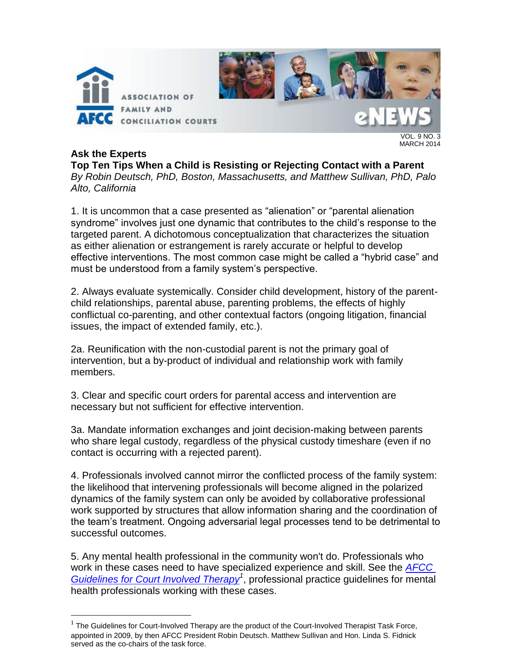

## **Ask the Experts**

 $\overline{a}$ 

**Top Ten Tips When a Child is Resisting or Rejecting Contact with a Parent** *By Robin Deutsch, PhD, Boston, Massachusetts, and Matthew Sullivan, PhD, Palo Alto, California*

1. It is uncommon that a case presented as "alienation" or "parental alienation syndrome" involves just one dynamic that contributes to the child's response to the targeted parent. A dichotomous conceptualization that characterizes the situation as either alienation or estrangement is rarely accurate or helpful to develop effective interventions. The most common case might be called a "hybrid case" and must be understood from a family system's perspective.

2. Always evaluate systemically. Consider child development, history of the parentchild relationships, parental abuse, parenting problems, the effects of highly conflictual co-parenting, and other contextual factors (ongoing litigation, financial issues, the impact of extended family, etc.).

2a. Reunification with the non-custodial parent is not the primary goal of intervention, but a by-product of individual and relationship work with family members.

3. Clear and specific court orders for parental access and intervention are necessary but not sufficient for effective intervention.

3a. Mandate information exchanges and joint decision-making between parents who share legal custody, regardless of the physical custody timeshare (even if no contact is occurring with a rejected parent).

4. Professionals involved cannot mirror the conflicted process of the family system: the likelihood that intervening professionals will become aligned in the polarized dynamics of the family system can only be avoided by collaborative professional work supported by structures that allow information sharing and the coordination of the team's treatment. Ongoing adversarial legal processes tend to be detrimental to successful outcomes.

5. Any mental health professional in the community won't do. Professionals who work in these cases need to have specialized experience and skill. See the *[AFCC](http://www.afccnet.org/Portals/0/PublicDocuments/Guidelines/Guidelines%20for%20Court%20Involved%20Therapy%20AFCC.pdf)  [Guidelines for Court Involved Therapy](http://www.afccnet.org/Portals/0/PublicDocuments/Guidelines/Guidelines%20for%20Court%20Involved%20Therapy%20AFCC.pdf)<sup>1</sup>* , professional practice guidelines for mental health professionals working with these cases.

 $1$  The Guidelines for Court-Involved Therapy are the product of the Court-Involved Therapist Task Force, appointed in 2009, by then AFCC President Robin Deutsch. Matthew Sullivan and Hon. Linda S. Fidnick served as the co-chairs of the task force.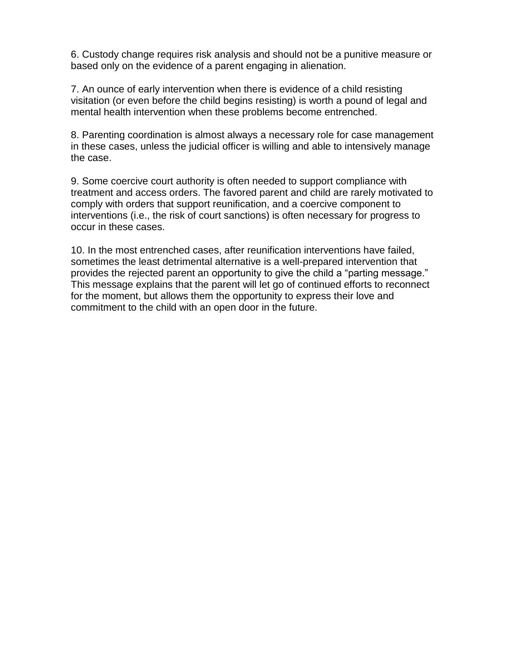6. Custody change requires risk analysis and should not be a punitive measure or based only on the evidence of a parent engaging in alienation.

7. An ounce of early intervention when there is evidence of a child resisting visitation (or even before the child begins resisting) is worth a pound of legal and mental health intervention when these problems become entrenched.

8. Parenting coordination is almost always a necessary role for case management in these cases, unless the judicial officer is willing and able to intensively manage the case.

9. Some coercive court authority is often needed to support compliance with treatment and access orders. The favored parent and child are rarely motivated to comply with orders that support reunification, and a coercive component to interventions (i.e., the risk of court sanctions) is often necessary for progress to occur in these cases.

10. In the most entrenched cases, after reunification interventions have failed, sometimes the least detrimental alternative is a well-prepared intervention that provides the rejected parent an opportunity to give the child a "parting message." This message explains that the parent will let go of continued efforts to reconnect for the moment, but allows them the opportunity to express their love and commitment to the child with an open door in the future.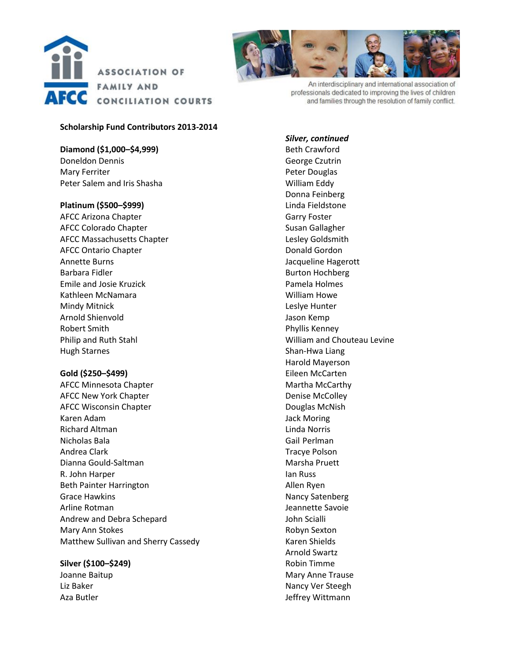



An interdisciplinary and international association of professionals dedicated to improving the lives of children and families through the resolution of family conflict.

#### **Scholarship Fund Contributors 2013-2014**

**Diamond (\$1,000–\$4,999)** Doneldon Dennis Mary Ferriter Peter Salem and Iris Shasha

#### **Platinum (\$500–\$999)**

AFCC Arizona Chapter AFCC Colorado Chapter AFCC Massachusetts Chapter AFCC Ontario Chapter Annette Burns Barbara Fidler Emile and Josie Kruzick Kathleen McNamara Mindy Mitnick Arnold Shienvold Robert Smith Philip and Ruth Stahl Hugh Starnes

### **Gold (\$250–\$499)**

AFCC Minnesota Chapter AFCC New York Chapter AFCC Wisconsin Chapter Karen Adam Richard Altman Nicholas Bala Andrea Clark Dianna Gould-Saltman R. John Harper Beth Painter Harrington Grace Hawkins Arline Rotman Andrew and Debra Schepard Mary Ann Stokes Matthew Sullivan and Sherry Cassedy

### **Silver (\$100–\$249)**

Joanne Baitup Liz Baker Aza Butler

*Silver, continued* Beth Crawford George Czutrin Peter Douglas William Eddy Donna Feinberg Linda Fieldstone Garry Foster Susan Gallagher Lesley Goldsmith Donald Gordon Jacqueline Hagerott Burton Hochberg Pamela Holmes William Howe Leslye Hunter Jason Kemp Phyllis Kenney William and Chouteau Levine Shan-Hwa Liang Harold Mayerson Eileen McCarten Martha McCarthy Denise McColley Douglas McNish Jack Moring Linda Norris Gail Perlman Tracye Polson Marsha Pruett Ian Russ Allen Ryen Nancy Satenberg Jeannette Savoie John Scialli Robyn Sexton Karen Shields Arnold Swartz Robin Timme Mary Anne Trause Nancy Ver Steegh Jeffrey Wittmann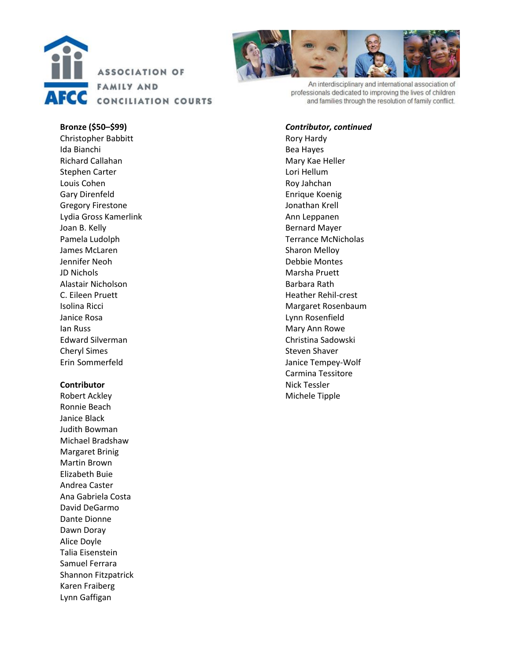



An interdisciplinary and international association of professionals dedicated to improving the lives of children and families through the resolution of family conflict.

#### **Bronze (\$50 –\$99)**

Christopher Babbitt Ida Bianchi Richard Callahan Stephen Carter Louis Cohen Gary Direnfeld Gregory Firestone Lydia Gross Kamerlink Joan B. Kell y Pamela Ludolph James McLaren Jennifer Neoh JD Nichols Alastair Nicholson C. Eileen Pruett Isolina Ricci Janice Rosa Ian Russ Edward Silverman Cheryl Simes Erin Sommerfeld

#### **Contributor**

Robert Ackley Ronnie Beach Janice Black Judith Bowman Michael Bradsha w Margaret Brinig Martin Brown Elizabeth Buie Andrea Caster Ana Gabriela Costa David DeGarmo Dante Dionne Dawn Doray Alice Doyle Talia Eisenstein Samuel Ferrara Shannon Fitzpatrick Karen Fraiberg Lynn Gaffigan

#### *Contributor, continued*

Rory Hardy Bea Hayes Mary Kae Heller Lori Hellum Roy Jahchan Enrique Koenig Jonathan Krell Ann Leppanen Bernard Mayer Terrance McNicholas Sharon Melloy Debbie Montes Marsha Pruett Barbara Rath Heather Rehil -crest Margaret Rosenbaum Lynn Rosenfield Mary Ann Rowe Christina Sadowsk i Steven Shaver Janice Tempey -Wolf Carmina Tessitore Nick Tessler Michele Tipple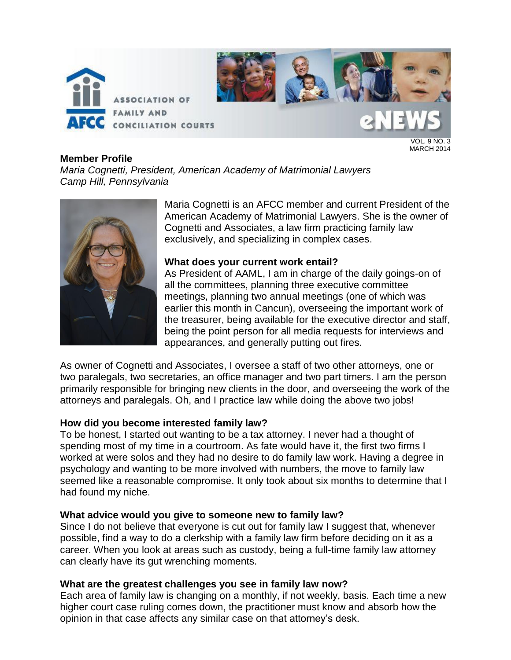

## **Member Profile**

*Maria Cognetti, President, American Academy of Matrimonial Lawyers Camp Hill, Pennsylvania*



Maria Cognetti is an AFCC member and current President of the American Academy of Matrimonial Lawyers. She is the owner of Cognetti and Associates, a law firm practicing family law exclusively, and specializing in complex cases.

## **What does your current work entail?**

As President of AAML, I am in charge of the daily goings-on of all the committees, planning three executive committee meetings, planning two annual meetings (one of which was earlier this month in Cancun), overseeing the important work of the treasurer, being available for the executive director and staff, being the point person for all media requests for interviews and appearances, and generally putting out fires.

As owner of Cognetti and Associates, I oversee a staff of two other attorneys, one or two paralegals, two secretaries, an office manager and two part timers. I am the person primarily responsible for bringing new clients in the door, and overseeing the work of the attorneys and paralegals. Oh, and I practice law while doing the above two jobs!

## **How did you become interested family law?**

To be honest, I started out wanting to be a tax attorney. I never had a thought of spending most of my time in a courtroom. As fate would have it, the first two firms I worked at were solos and they had no desire to do family law work. Having a degree in psychology and wanting to be more involved with numbers, the move to family law seemed like a reasonable compromise. It only took about six months to determine that I had found my niche.

## **What advice would you give to someone new to family law?**

Since I do not believe that everyone is cut out for family law I suggest that, whenever possible, find a way to do a clerkship with a family law firm before deciding on it as a career. When you look at areas such as custody, being a full-time family law attorney can clearly have its gut wrenching moments.

## **What are the greatest challenges you see in family law now?**

Each area of family law is changing on a monthly, if not weekly, basis. Each time a new higher court case ruling comes down, the practitioner must know and absorb how the opinion in that case affects any similar case on that attorney's desk.